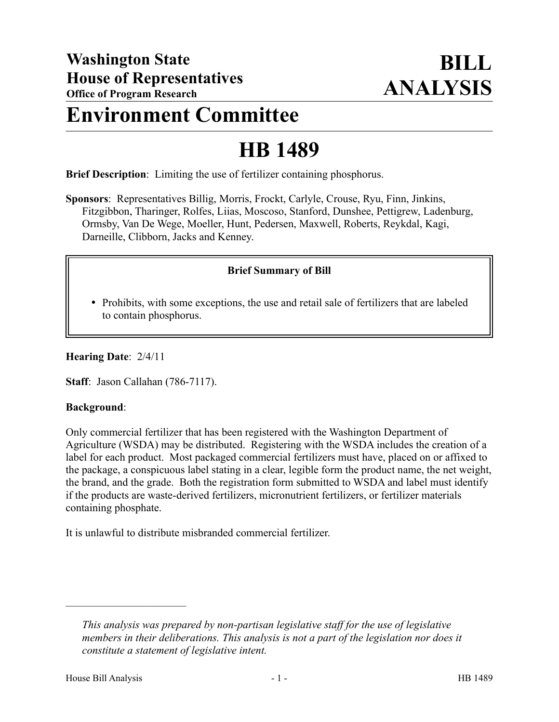# **Environment Committee**

# **HB 1489**

**Brief Description**: Limiting the use of fertilizer containing phosphorus.

**Sponsors**: Representatives Billig, Morris, Frockt, Carlyle, Crouse, Ryu, Finn, Jinkins, Fitzgibbon, Tharinger, Rolfes, Liias, Moscoso, Stanford, Dunshee, Pettigrew, Ladenburg, Ormsby, Van De Wege, Moeller, Hunt, Pedersen, Maxwell, Roberts, Reykdal, Kagi, Darneille, Clibborn, Jacks and Kenney.

## **Brief Summary of Bill**

• Prohibits, with some exceptions, the use and retail sale of fertilizers that are labeled to contain phosphorus.

#### **Hearing Date**: 2/4/11

**Staff**: Jason Callahan (786-7117).

#### **Background**:

Only commercial fertilizer that has been registered with the Washington Department of Agriculture (WSDA) may be distributed. Registering with the WSDA includes the creation of a label for each product. Most packaged commercial fertilizers must have, placed on or affixed to the package, a conspicuous label stating in a clear, legible form the product name, the net weight, the brand, and the grade. Both the registration form submitted to WSDA and label must identify if the products are waste-derived fertilizers, micronutrient fertilizers, or fertilizer materials containing phosphate.

It is unlawful to distribute misbranded commercial fertilizer.

––––––––––––––––––––––

*This analysis was prepared by non-partisan legislative staff for the use of legislative members in their deliberations. This analysis is not a part of the legislation nor does it constitute a statement of legislative intent.*